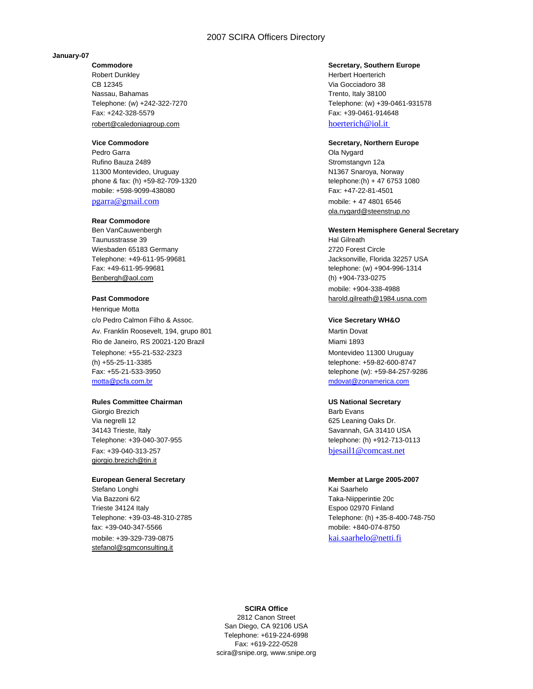# 2007 SCIRA Officers Directory

### **January-07**

Robert Dunkley **Herbert Hoerterich Herbert Hoerterich** CB 12345 Via Gocciadoro 38 Nassau, Bahamas Trento, Italy 38100 Fax: +242-328-5579 Fax: +39-0461-914648 robert@caledoniagroup.com hoerterich@iol.it

Pedro Garra **Ola Nygard** Change Change Change Change Change Change Change Change Change Change Change Change Change Change Change Change Change Change Change Change Change Change Change Change Change Change Change Change C Rufino Bauza 2489 Stromstangvn 12a 11300 Montevideo, Uruguay National American State of Museum N1367 Snaroya, Norway phone & fax: (h) +59-82-709-1320 telephone:(h) + 47 6753 1080 mobile: +598-9099-438080 Fax: +47-22-81-4501

### **Rear Commodore**

Taunusstrasse 39 **Hal Gilreath** Number 2014 Wiesbaden 65183 Germany 2720 Forest Circle Benbergh@aol.com (h) +904-733-0275

Henrique Motta c/o Pedro Calmon Filho & Assoc. **Vice Secretary WH&O** Av. Franklin Roosevelt, 194, grupo 801 Martin Dovat Rio de Janeiro, RS 20021-120 Brazil Miami 1893 Telephone: +55-21-532-2323 Montevideo 11300 Uruguay (h) +55-25-11-3385 telephone: +59-82-600-8747 Fax: +55-21-533-3950 telephone (w): +59-84-257-9286 motta@pcfa.com.br mdovat@zonamerica.com

### **Rules Committee Chairman Committee Chairman Committee Chairman Committee Chairman Committee Chairman Committee Chairman Committee Chairman Committee Chairman Committee Chairman Committee Chairman Committee Chairman Commit**

Giorgio Brezich **Barb Evans** Via negrelli 12 **bizi negrelli 12** 625 Leaning Oaks Dr. 34143 Trieste, Italy Savannah, GA 31410 USA Fax: +39-040-313-257 bjesail1@comcast.net giorgio.brezich@tin.it

Stefano Longhi **Kai Saarhelo** Via Bazzoni 6/2 Taka-Niipperintie 20c Trieste 34124 Italy Espoo 02970 Finland fax: +39-040-347-5566 mobile: +840-074-8750 mobile: +39-329-739-0875 kai.saarhelo@netti.fi stefanol@sgmconsulting.it

### **Commodore Commodore Secretary, Southern Europe**

Telephone: (w) +242-322-7270 Telephone: (w) +39-0461-931578

# **Vice Commodore Secretary, Northern Europe**

pgarra@gmail.com mobile: + 47 4801 6546 ola.nygard@steenstrup.no

# Ben VanCauwenbergh **Western Hemisphere General Secretary**

Telephone: +49-611-95-99681 Jacksonville, Florida 32257 USA Fax: +49-611-95-99681 telephone: (w) +904-996-1314 mobile: +904-338-4988 **Past Commodore** harold.gilreath@1984.usna.com

Telephone: +39-040-307-955 telephone: (h) +912-713-0113

### **European General Secretary Member at Large 2005-2007**

Telephone: +39-03-48-310-2785 Telephone: (h) +35-8-400-748-750

### **SCIRA Office**

2812 Canon Street San Diego, CA 92106 USA Telephone: +619-224-6998 Fax: +619-222-0528 scira@snipe.org, www.snipe.org